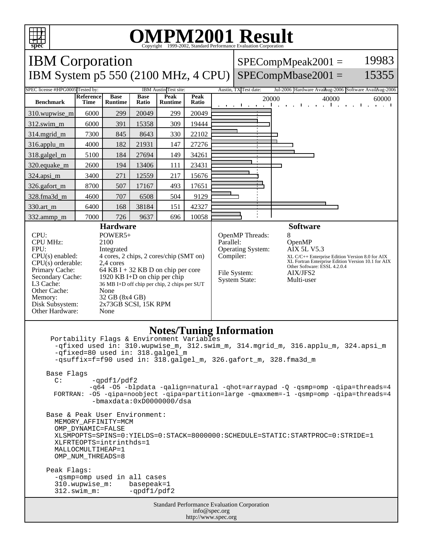

## OMPM2001 Result to Evaluation Corporation

| <b>IBM</b> Corporation<br>IBM System p5 550 (2100 MHz, 4 CPU)                                                                                                                                                                                                                                                                                                                                                                                                                                                                                                                                                                                                                                                                                                                                                                                                                          |                   |                               |                      |                        |               | 19983<br>$SPECompMpeak2001 =$<br>15355<br>$SPECompMbase2001 =$ |                                                                                                                                                                                                                                                                                                                       |  |                 |  |  |  |
|----------------------------------------------------------------------------------------------------------------------------------------------------------------------------------------------------------------------------------------------------------------------------------------------------------------------------------------------------------------------------------------------------------------------------------------------------------------------------------------------------------------------------------------------------------------------------------------------------------------------------------------------------------------------------------------------------------------------------------------------------------------------------------------------------------------------------------------------------------------------------------------|-------------------|-------------------------------|----------------------|------------------------|---------------|----------------------------------------------------------------|-----------------------------------------------------------------------------------------------------------------------------------------------------------------------------------------------------------------------------------------------------------------------------------------------------------------------|--|-----------------|--|--|--|
| SPEC license #HPG0005 Tested by:<br>Austin, TX Test date:<br>IBM Austin Test site:<br>Jul-2006 Hardware Avaikug-2006 Software AvailAug-2006                                                                                                                                                                                                                                                                                                                                                                                                                                                                                                                                                                                                                                                                                                                                            |                   |                               |                      |                        |               |                                                                |                                                                                                                                                                                                                                                                                                                       |  |                 |  |  |  |
| <b>Benchmark</b>                                                                                                                                                                                                                                                                                                                                                                                                                                                                                                                                                                                                                                                                                                                                                                                                                                                                       | Reference<br>Time | <b>Base</b><br><b>Runtime</b> | <b>Base</b><br>Ratio | Peak<br><b>Runtime</b> | Peak<br>Ratio | 20000<br>40000<br>60000<br>and the contract to the contract of |                                                                                                                                                                                                                                                                                                                       |  |                 |  |  |  |
| 310.wupwise_m                                                                                                                                                                                                                                                                                                                                                                                                                                                                                                                                                                                                                                                                                                                                                                                                                                                                          | 6000              | 299                           | 20049                | 299                    | 20049         |                                                                |                                                                                                                                                                                                                                                                                                                       |  |                 |  |  |  |
| $312$ .swim_m                                                                                                                                                                                                                                                                                                                                                                                                                                                                                                                                                                                                                                                                                                                                                                                                                                                                          | 6000              | 391                           | 15358                | 309                    | 19444         |                                                                |                                                                                                                                                                                                                                                                                                                       |  |                 |  |  |  |
| 314.mgrid_m                                                                                                                                                                                                                                                                                                                                                                                                                                                                                                                                                                                                                                                                                                                                                                                                                                                                            | 7300              | 845                           | 8643                 | 330                    | 22102         |                                                                |                                                                                                                                                                                                                                                                                                                       |  |                 |  |  |  |
| 316.applu_m                                                                                                                                                                                                                                                                                                                                                                                                                                                                                                                                                                                                                                                                                                                                                                                                                                                                            | 4000              | 182                           | 21931                | 147                    | 27276         |                                                                |                                                                                                                                                                                                                                                                                                                       |  |                 |  |  |  |
| 318.galgel_m                                                                                                                                                                                                                                                                                                                                                                                                                                                                                                                                                                                                                                                                                                                                                                                                                                                                           | 5100              | 184                           | 27694                | 149                    | 34261         |                                                                |                                                                                                                                                                                                                                                                                                                       |  |                 |  |  |  |
| 320.equake_m                                                                                                                                                                                                                                                                                                                                                                                                                                                                                                                                                                                                                                                                                                                                                                                                                                                                           | 2600              | 194                           | 13406                | 111                    | 23431         |                                                                |                                                                                                                                                                                                                                                                                                                       |  |                 |  |  |  |
| 324.apsi_m                                                                                                                                                                                                                                                                                                                                                                                                                                                                                                                                                                                                                                                                                                                                                                                                                                                                             | 3400              | 271                           | 12559                | 217                    | 15676         |                                                                |                                                                                                                                                                                                                                                                                                                       |  |                 |  |  |  |
| 326.gafort_m                                                                                                                                                                                                                                                                                                                                                                                                                                                                                                                                                                                                                                                                                                                                                                                                                                                                           | 8700              | 507                           | 17167                | 493                    | 17651         |                                                                |                                                                                                                                                                                                                                                                                                                       |  |                 |  |  |  |
| 328.fma3d m                                                                                                                                                                                                                                                                                                                                                                                                                                                                                                                                                                                                                                                                                                                                                                                                                                                                            | 4600              | 707                           | 6508                 | 504                    | 9129          |                                                                |                                                                                                                                                                                                                                                                                                                       |  |                 |  |  |  |
| 330.art_m                                                                                                                                                                                                                                                                                                                                                                                                                                                                                                                                                                                                                                                                                                                                                                                                                                                                              | 6400              | 168                           | 38184                | 151                    | 42327         |                                                                |                                                                                                                                                                                                                                                                                                                       |  |                 |  |  |  |
| 332.ammp_m                                                                                                                                                                                                                                                                                                                                                                                                                                                                                                                                                                                                                                                                                                                                                                                                                                                                             | 7000              | 726<br><b>Hardware</b>        | 9637                 | 696                    | 10058         |                                                                |                                                                                                                                                                                                                                                                                                                       |  | <b>Software</b> |  |  |  |
| CPU:<br>POWER5+<br>2100<br><b>CPU MHz:</b><br>FPU:<br>Integrated<br>$CPU(s)$ enabled:<br>4 cores, 2 chips, 2 cores/chip (SMT on)<br>$CPU(s)$ orderable:<br>2.4 cores<br>Primary Cache:<br>64 KB I + 32 KB D on chip per core<br>Secondary Cache:<br>1920 KB I+D on chip per chip<br>L3 Cache:<br>36 MB I+D off chip per chip, 2 chips per SUT<br>Other Cache:<br>None<br>32 GB (8x4 GB)<br>Memory:<br>Disk Subsystem:<br>2x73GB SCSI, 15K RPM<br>Other Hardware:<br>None                                                                                                                                                                                                                                                                                                                                                                                                               |                   |                               |                      |                        |               |                                                                | 8<br>OpenMP Threads:<br>Parallel:<br>OpenMP<br><b>Operating System:</b><br><b>AIX 5L V5.3</b><br>Compiler:<br>XL C/C++ Enterprise Edition Version 8.0 for AIX<br>XL Fortran Enterprise Edition Version 10.1 for AIX<br>Other Software: ESSL 4.2.0.4<br>File System:<br>AIX/JFS2<br><b>System State:</b><br>Multi-user |  |                 |  |  |  |
| <b>Notes/Tuning Information</b><br>Portability Flags & Environment Variables<br>-qfixed used in: 310.wupwise_m, 312.swim_m, 314.mgrid_m, 316.applu_m, 324.apsi_m<br>-qfixed=80 used in: 318.galgel_m<br>-qsuffix=f=f90 used in: 318.galgel_m, 326.gafort_m, 328.fma3d_m<br>Base Flags<br>$\mathbb{C}$ :<br>$-qpdf1/pdf2$<br>-q64 -05 -blpdata -qalign=natural -qhot=arraypad -Q -qsmp=omp -qipa=threads=4<br>FORTRAN: -05 -qipa=noobject -qipa=partition=large -qmaxmem=-1 -qsmp=omp -qipa=threads=4<br>$-bmaxdata:0xD0000000/dsa$<br>Base & Peak User Environment:<br>MEMORY AFFINITY=MCM<br>OMP_DYNAMIC=FALSE<br>XLSMPOPTS=SPINS=0:YIELDS=0:STACK=8000000:SCHEDULE=STATIC:STARTPROC=0:STRIDE=1<br>XLFRTEOPTS=intrinthds=1<br>MALLOCMULTIHEAP=1<br>OMP_NUM_THREADS=8<br>Peak Flags:<br>-qsmp=omp used in all cases<br>310.wupwise_m:<br>basepeak=1<br>$312.swin_m$ :<br>$-qpdf1/pdf2$ |                   |                               |                      |                        |               |                                                                |                                                                                                                                                                                                                                                                                                                       |  |                 |  |  |  |
| <b>Standard Performance Evaluation Corporation</b><br>info@spec.org<br>http://www.spec.org                                                                                                                                                                                                                                                                                                                                                                                                                                                                                                                                                                                                                                                                                                                                                                                             |                   |                               |                      |                        |               |                                                                |                                                                                                                                                                                                                                                                                                                       |  |                 |  |  |  |